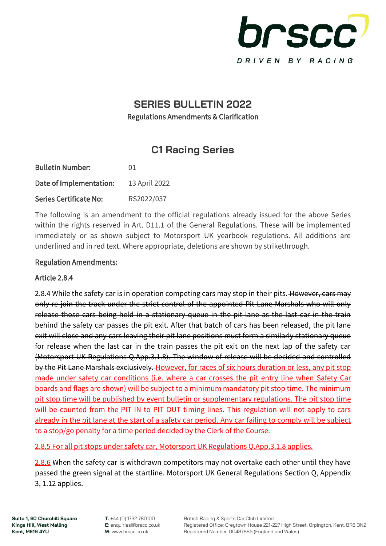

## **SERIES BULLETIN 2022** Regulations Amendments & Clarification

# **C1 Racing Series**

| <b>Bulletin Number:</b>       | 01            |
|-------------------------------|---------------|
| Date of Implementation:       | 13 April 2022 |
| <b>Series Certificate No:</b> | RS2022/037    |

The following is an amendment to the official regulations already issued for the above Series within the rights reserved in Art. D11.1 of the General Regulations. These will be implemented immediately or as shown subject to Motorsport UK yearbook regulations. All additions are underlined and in red text. Where appropriate, deletions are shown by strikethrough.

#### Regulation Amendments:

#### Article 2.8.4

2.8.4 While the safety car is in operation competing cars may stop in their pits. However, cars may only re-join the track under the strict control of the appointed Pit Lane Marshals who will only release those cars being held in a stationary queue in the pit lane as the last car in the train behind the safety car passes the pit exit. After that batch of cars has been released, the pit lane exit will close and any cars leaving their pit lane positions must form a similarly stationary queue for release when the last car in the train passes the pit exit on the next lap of the safety car (Motorsport UK Regulations Q.App.3.1.8). The window of release will be decided and controlled by the Pit Lane Marshals exclusively. However, for races of six hours duration or less, any pit stop made under safety car conditions (i.e. where a car crosses the pit entry line when Safety Car boards and flags are shown) will be subject to a minimum mandatory pit stop time. The minimum pit stop time will be published by event bulletin or supplementary regulations. The pit stop time will be counted from the PIT IN to PIT OUT timing lines. This regulation will not apply to cars already in the pit lane at the start of a safety car period. Any car failing to comply will be subject to a stop/go penalty for a time period decided by the Clerk of the Course.

2.8.5 For all pit stops under safety car, Motorsport UK Regulations Q.App.3.1.8 applies.

2.8.6 When the safety car is withdrawn competitors may not overtake each other until they have passed the green signal at the startline. Motorsport UK General Regulations Section Q, Appendix 3, 1.12 applies.